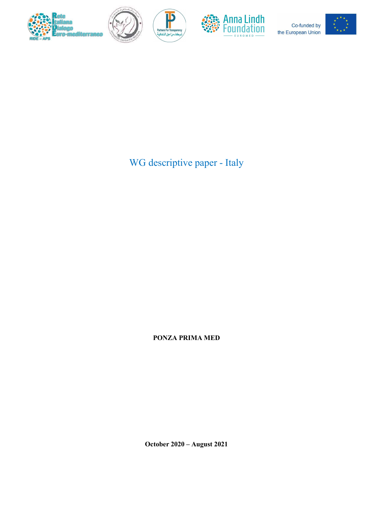



 $\mathbf{P}$ 



Co-funded by the European Union



WG descriptive paper - Italy

PONZA PRIMA MED

October 2020 – August 2021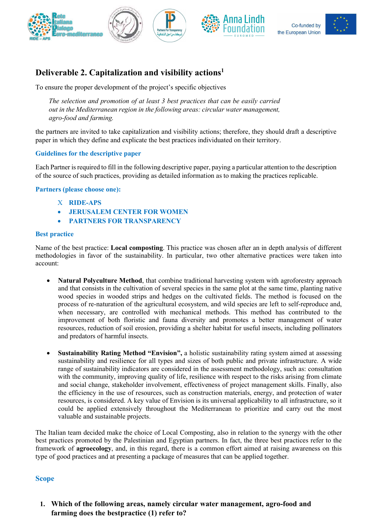







# Deliverable 2. Capitalization and visibility actions<sup>1</sup>

To ensure the proper development of the project's specific objectives

The selection and promotion of at least 3 best practices that can be easily carried out in the Mediterranean region in the following areas: circular water management, agro-food and farming.

the partners are invited to take capitalization and visibility actions; therefore, they should draft a descriptive paper in which they define and explicate the best practices individuated on their territory.

#### Guidelines for the descriptive paper

Each Partner is required to fill in the following descriptive paper, paying a particular attention to the description of the source of such practices, providing as detailed information as to making the practices replicable.

Partners (please choose one):

- X RIDE-APS
- JERUSALEM CENTER FOR WOMEN
- PARTNERS FOR TRANSPARENCY

#### Best practice

Name of the best practice: Local composting. This practice was chosen after an in depth analysis of different methodologies in favor of the sustainability. In particular, two other alternative practices were taken into account:

- Natural Polyculture Method, that combine traditional harvesting system with agroforestry approach and that consists in the cultivation of several species in the same plot at the same time, planting native wood species in wooded strips and hedges on the cultivated fields. The method is focused on the process of re-naturation of the agricultural ecosystem, and wild species are left to self-reproduce and, when necessary, are controlled with mechanical methods. This method has contributed to the improvement of both floristic and fauna diversity and promotes a better management of water resources, reduction of soil erosion, providing a shelter habitat for useful insects, including pollinators and predators of harmful insects.
- Sustainability Rating Method "Envision", a holistic sustainability rating system aimed at assessing sustainability and resilience for all types and sizes of both public and private infrastructure. A wide range of sustainability indicators are considered in the assessment methodology, such as: consultation with the community, improving quality of life, resilience with respect to the risks arising from climate and social change, stakeholder involvement, effectiveness of project management skills. Finally, also the efficiency in the use of resources, such as construction materials, energy, and protection of water resources, is considered. A key value of Envision is its universal applicability to all infrastructure, so it could be applied extensively throughout the Mediterranean to prioritize and carry out the most valuable and sustainable projects.

The Italian team decided make the choice of Local Composting, also in relation to the synergy with the other best practices promoted by the Palestinian and Egyptian partners. In fact, the three best practices refer to the framework of agroecology, and, in this regard, there is a common effort aimed at raising awareness on this type of good practices and at presenting a package of measures that can be applied together.

#### Scope

1. Which of the following areas, namely circular water management, agro-food and farming does the bestpractice (1) refer to?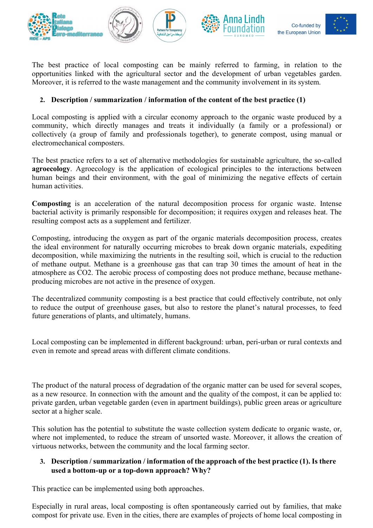

Co-funded by the European Union



The best practice of local composting can be mainly referred to farming, in relation to the opportunities linked with the agricultural sector and the development of urban vegetables garden. Moreover, it is referred to the waste management and the community involvement in its system.

# 2. Description / summarization / information of the content of the best practice (1)

Local composting is applied with a circular economy approach to the organic waste produced by a community, which directly manages and treats it individually (a family or a professional) or collectively (a group of family and professionals together), to generate compost, using manual or electromechanical composters.

The best practice refers to a set of alternative methodologies for sustainable agriculture, the so-called agroecology. Agroecology is the application of ecological principles to the interactions between human beings and their environment, with the goal of minimizing the negative effects of certain human activities.

Composting is an acceleration of the natural decomposition process for organic waste. Intense bacterial activity is primarily responsible for decomposition; it requires oxygen and releases heat. The resulting compost acts as a supplement and fertilizer.

Composting, introducing the oxygen as part of the organic materials decomposition process, creates the ideal environment for naturally occurring microbes to break down organic materials, expediting decomposition, while maximizing the nutrients in the resulting soil, which is crucial to the reduction of methane output. Methane is a greenhouse gas that can trap 30 times the amount of heat in the atmosphere as CO2. The aerobic process of composting does not produce methane, because methaneproducing microbes are not active in the presence of oxygen.

The decentralized community composting is a best practice that could effectively contribute, not only to reduce the output of greenhouse gases, but also to restore the planet's natural processes, to feed future generations of plants, and ultimately, humans.

Local composting can be implemented in different background: urban, peri-urban or rural contexts and even in remote and spread areas with different climate conditions.

The product of the natural process of degradation of the organic matter can be used for several scopes, as a new resource. In connection with the amount and the quality of the compost, it can be applied to: private garden, urban vegetable garden (even in apartment buildings), public green areas or agriculture sector at a higher scale.

This solution has the potential to substitute the waste collection system dedicate to organic waste, or, where not implemented, to reduce the stream of unsorted waste. Moreover, it allows the creation of virtuous networks, between the community and the local farming sector.

# 3. Description / summarization / information of the approach of the best practice (1). Is there used a bottom-up or a top-down approach? Why?

This practice can be implemented using both approaches.

Especially in rural areas, local composting is often spontaneously carried out by families, that make compost for private use. Even in the cities, there are examples of projects of home local composting in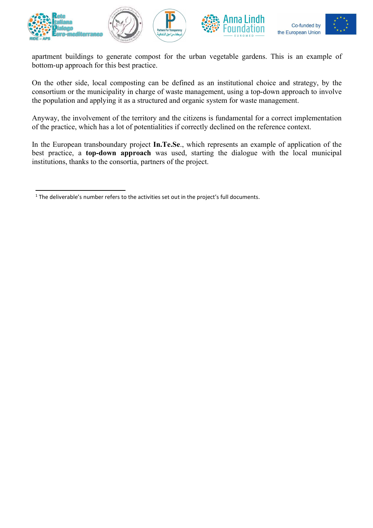



apartment buildings to generate compost for the urban vegetable gardens. This is an example of bottom-up approach for this best practice.

On the other side, local composting can be defined as an institutional choice and strategy, by the consortium or the municipality in charge of waste management, using a top-down approach to involve the population and applying it as a structured and organic system for waste management.

Anyway, the involvement of the territory and the citizens is fundamental for a correct implementation of the practice, which has a lot of potentialities if correctly declined on the reference context.

In the European transboundary project In.Te.Se., which represents an example of application of the best practice, a top-down approach was used, starting the dialogue with the local municipal institutions, thanks to the consortia, partners of the project.

 $<sup>1</sup>$  The deliverable's number refers to the activities set out in the project's full documents.</sup>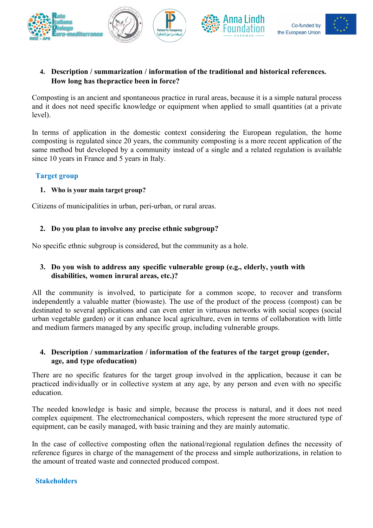

# 4. Description / summarization / information of the traditional and historical references. How long has the practice been in force?

Composting is an ancient and spontaneous practice in rural areas, because it is a simple natural process and it does not need specific knowledge or equipment when applied to small quantities (at a private level).

In terms of application in the domestic context considering the European regulation, the home composting is regulated since 20 years, the community composting is a more recent application of the same method but developed by a community instead of a single and a related regulation is available since 10 years in France and 5 years in Italy.

### Target group

#### 1. Who is your main target group?

Citizens of municipalities in urban, peri-urban, or rural areas.

### 2. Do you plan to involve any precise ethnic subgroup?

No specific ethnic subgroup is considered, but the community as a hole.

### 3. Do you wish to address any specific vulnerable group (e.g., elderly, youth with disabilities, women in rural areas, etc.)?

All the community is involved, to participate for a common scope, to recover and transform independently a valuable matter (biowaste). The use of the product of the process (compost) can be destinated to several applications and can even enter in virtuous networks with social scopes (social urban vegetable garden) or it can enhance local agriculture, even in terms of collaboration with little and medium farmers managed by any specific group, including vulnerable groups.

#### 4. Description / summarization / information of the features of the target group (gender, age, and type of education)

There are no specific features for the target group involved in the application, because it can be practiced individually or in collective system at any age, by any person and even with no specific education.

The needed knowledge is basic and simple, because the process is natural, and it does not need complex equipment. The electromechanical composters, which represent the more structured type of equipment, can be easily managed, with basic training and they are mainly automatic.

In the case of collective composting often the national/regional regulation defines the necessity of reference figures in charge of the management of the process and simple authorizations, in relation to the amount of treated waste and connected produced compost.

#### Stakeholders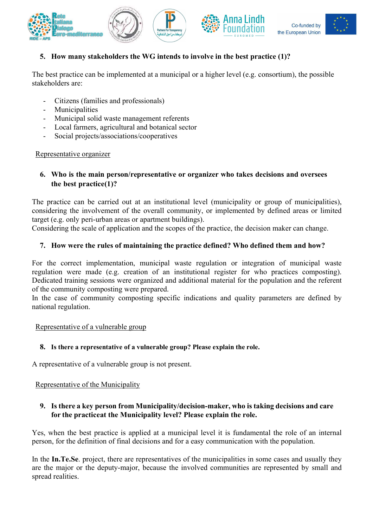

# 5. How many stakeholders the WG intends to involve in the best practice (1)?

The best practice can be implemented at a municipal or a higher level (e.g. consortium), the possible stakeholders are:

- Citizens (families and professionals)
- Municipalities
- Municipal solid waste management referents
- Local farmers, agricultural and botanical sector
- Social projects/associations/cooperatives

#### Representative organizer

#### 6. Who is the main person/representative or organizer who takes decisions and oversees the best practice (1)?

The practice can be carried out at an institutional level (municipality or group of municipalities), considering the involvement of the overall community, or implemented by defined areas or limited target (e.g. only peri-urban areas or apartment buildings).

Considering the scale of application and the scopes of the practice, the decision maker can change.

### 7. How were the rules of maintaining the practice defined? Who defined them and how?

For the correct implementation, municipal waste regulation or integration of municipal waste regulation were made (e.g. creation of an institutional register for who practices composting). Dedicated training sessions were organized and additional material for the population and the referent of the community composting were prepared.

In the case of community composting specific indications and quality parameters are defined by national regulation.

#### Representative of a vulnerable group

### 8. Is there a representative of a vulnerable group? Please explain the role.

A representative of a vulnerable group is not present.

### Representative of the Municipality

### 9. Is there a key person from Municipality/decision-maker, who is taking decisions and care for the practice at the Municipality level? Please explain the role.

Yes, when the best practice is applied at a municipal level it is fundamental the role of an internal person, for the definition of final decisions and for a easy communication with the population.

In the In.Te.Se. project, there are representatives of the municipalities in some cases and usually they are the major or the deputy-major, because the involved communities are represented by small and spread realities.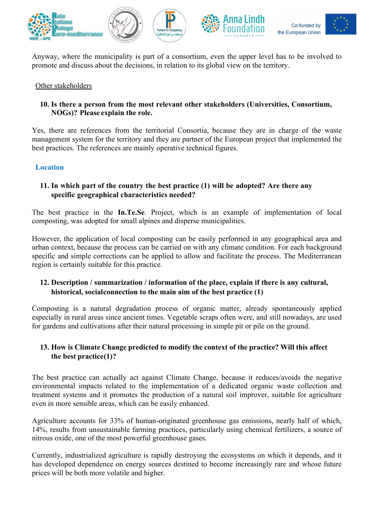

Anyway, where the municipality is part of a consortium, even the upper level has to be involved to promote and discuss about the decisions, in relation to its global view on the territory.

#### Other stakeholders

### 10. Is there a person from the most relevant other stakeholders (Universities, Consortium, NOGs)? Please explain the role.

Yes, there are references from the territorial Consortia, because they are in charge of the waste management system for the territory and they are partner of the European project that implemented the best practices. The references are mainly operative technical figures.

#### Location

# 11. In which part of the country the best practice (1) will be adopted? Are there any specific geographical characteristics needed?

The best practice in the In.Te.Se. Project, which is an example of implementation of local composting, was adopted for small alpines and disperse municipalities.

However, the application of local composting can be easily performed in any geographical area and urban context, because the process can be carried on with any climate condition. For each background specific and simple corrections can be applied to allow and facilitate the process. The Mediterranean region is certainly suitable for this practice.

# 12. Description / summarization / information of the place, explain if there is any cultural, historical, social connection to the main aim of the best practice (1)

Composting is a natural degradation process of organic matter, already spontaneously applied especially in rural areas since ancient times. Vegetable scraps often were, and still nowadays, are used for gardens and cultivations after their natural processing in simple pit or pile on the ground.

# 13. How is Climate Change predicted to modify the context of the practice? Will this affect the best practice $(1)$ ?

The best practice can actually act against Climate Change, because it reduces/avoids the negative environmental impacts related to the implementation of a dedicated organic waste collection and treatment systems and it promotes the production of a natural soil improver, suitable for agriculture even in more sensible areas, which can be easily enhanced.

Agriculture accounts for 33% of human-originated greenhouse gas emissions, nearly half of which, 14%, results from unsustainable farming practices, particularly using chemical fertilizers, a source of nitrous oxide, one of the most powerful greenhouse gases.

Currently, industrialized agriculture is rapidly destroying the ecosystems on which it depends, and it has developed dependence on energy sources destined to become increasingly rare and whose future prices will be both more volatile and higher.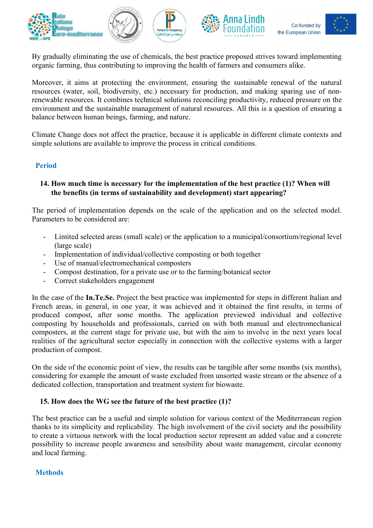

By gradually eliminating the use of chemicals, the best practice proposed strives toward implementing organic farming, thus contributing to improving the health of farmers and consumers alike.

Moreover, it aims at protecting the environment, ensuring the sustainable renewal of the natural resources (water, soil, biodiversity, etc.) necessary for production, and making sparing use of nonrenewable resources. It combines technical solutions reconciling productivity, reduced pressure on the environment and the sustainable management of natural resources. All this is a question of ensuring a balance between human beings, farming, and nature.

Climate Change does not affect the practice, because it is applicable in different climate contexts and simple solutions are available to improve the process in critical conditions.

### Period

### 14. How much time is necessary for the implementation of the best practice (1)? When will the benefits (in terms of sustainability and development) start appearing?

The period of implementation depends on the scale of the application and on the selected model. Parameters to be considered are:

- Limited selected areas (small scale) or the application to a municipal/consortium/regional level (large scale)
- Implementation of individual/collective composting or both together
- Use of manual/electromechanical composters
- Compost destination, for a private use or to the farming/botanical sector
- Correct stakeholders engagement

In the case of the **In.Te.Se.** Project the best practice was implemented for steps in different Italian and French areas, in general, in one year, it was achieved and it obtained the first results, in terms of produced compost, after some months. The application previewed individual and collective composting by households and professionals, carried on with both manual and electromechanical composters, at the current stage for private use, but with the aim to involve in the next years local realities of the agricultural sector especially in connection with the collective systems with a larger production of compost.

On the side of the economic point of view, the results can be tangible after some months (six months), considering for example the amount of waste excluded from unsorted waste stream or the absence of a dedicated collection, transportation and treatment system for biowaste.

#### 15. How does the WG see the future of the best practice (1)?

The best practice can be a useful and simple solution for various context of the Mediterranean region thanks to its simplicity and replicability. The high involvement of the civil society and the possibility to create a virtuous network with the local production sector represent an added value and a concrete possibility to increase people awareness and sensibility about waste management, circular economy and local farming.

#### **Methods**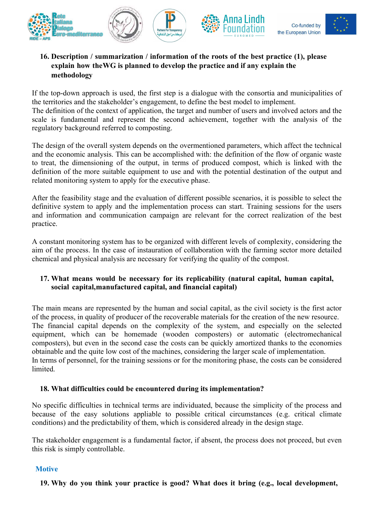

## 16. Description / summarization / information of the roots of the best practice (1), please explain how the WG is planned to develop the practice and if any explain the methodology

If the top-down approach is used, the first step is a dialogue with the consortia and municipalities of the territories and the stakeholder's engagement, to define the best model to implement. The definition of the context of application, the target and number of users and involved actors and the scale is fundamental and represent the second achievement, together with the analysis of the regulatory background referred to composting.

The design of the overall system depends on the overmentioned parameters, which affect the technical and the economic analysis. This can be accomplished with: the definition of the flow of organic waste to treat, the dimensioning of the output, in terms of produced compost, which is linked with the definition of the more suitable equipment to use and with the potential destination of the output and related monitoring system to apply for the executive phase.

After the feasibility stage and the evaluation of different possible scenarios, it is possible to select the definitive system to apply and the implementation process can start. Training sessions for the users and information and communication campaign are relevant for the correct realization of the best practice.

A constant monitoring system has to be organized with different levels of complexity, considering the aim of the process. In the case of instauration of collaboration with the farming sector more detailed chemical and physical analysis are necessary for verifying the quality of the compost.

# 17. What means would be necessary for its replicability (natural capital, human capital, social capital, manufactured capital, and financial capital)

The main means are represented by the human and social capital, as the civil society is the first actor of the process, in quality of producer of the recoverable materials for the creation of the new resource. The financial capital depends on the complexity of the system, and especially on the selected equipment, which can be homemade (wooden composters) or automatic (electromechanical composters), but even in the second case the costs can be quickly amortized thanks to the economies obtainable and the quite low cost of the machines, considering the larger scale of implementation. In terms of personnel, for the training sessions or for the monitoring phase, the costs can be considered limited.

### 18. What difficulties could be encountered during its implementation?

No specific difficulties in technical terms are individuated, because the simplicity of the process and because of the easy solutions appliable to possible critical circumstances (e.g. critical climate conditions) and the predictability of them, which is considered already in the design stage.

The stakeholder engagement is a fundamental factor, if absent, the process does not proceed, but even this risk is simply controllable.

### **Motive**

19. Why do you think your practice is good? What does it bring (e.g., local development,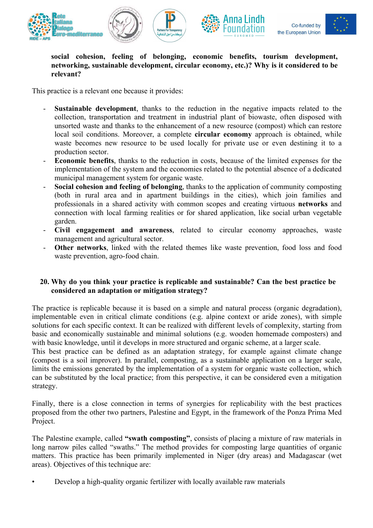





social cohesion, feeling of belonging, economic benefits, tourism development, networking, sustainable development, circular economy, etc.)? Why is it considered to be relevant?

This practice is a relevant one because it provides:

- **Sustainable development**, thanks to the reduction in the negative impacts related to the collection, transportation and treatment in industrial plant of biowaste, often disposed with unsorted waste and thanks to the enhancement of a new resource (compost) which can restore local soil conditions. Moreover, a complete **circular economy** approach is obtained, while waste becomes new resource to be used locally for private use or even destining it to a production sector.
- Economic benefits, thanks to the reduction in costs, because of the limited expenses for the implementation of the system and the economies related to the potential absence of a dedicated municipal management system for organic waste.
- Social cohesion and feeling of belonging, thanks to the application of community composting (both in rural area and in apartment buildings in the cities), which join families and professionals in a shared activity with common scopes and creating virtuous networks and connection with local farming realities or for shared application, like social urban vegetable garden.
- Civil engagement and awareness, related to circular economy approaches, waste management and agricultural sector.
- Other networks, linked with the related themes like waste prevention, food loss and food waste prevention, agro-food chain.

### 20. Why do you think your practice is replicable and sustainable? Can the best practice be considered an adaptation or mitigation strategy?

The practice is replicable because it is based on a simple and natural process (organic degradation), implementable even in critical climate conditions (e.g. alpine context or aride zones), with simple solutions for each specific context. It can be realized with different levels of complexity, starting from basic and economically sustainable and minimal solutions (e.g. wooden homemade composters) and with basic knowledge, until it develops in more structured and organic scheme, at a larger scale.

This best practice can be defined as an adaptation strategy, for example against climate change (compost is a soil improver). In parallel, composting, as a sustainable application on a larger scale, limits the emissions generated by the implementation of a system for organic waste collection, which can be substituted by the local practice; from this perspective, it can be considered even a mitigation strategy.

Finally, there is a close connection in terms of synergies for replicability with the best practices proposed from the other two partners, Palestine and Egypt, in the framework of the Ponza Prima Med Project.

The Palestine example, called "swath composting", consists of placing a mixture of raw materials in long narrow piles called "swaths." The method provides for composting large quantities of organic matters. This practice has been primarily implemented in Niger (dry areas) and Madagascar (wet areas). Objectives of this technique are:

• Develop a high-quality organic fertilizer with locally available raw materials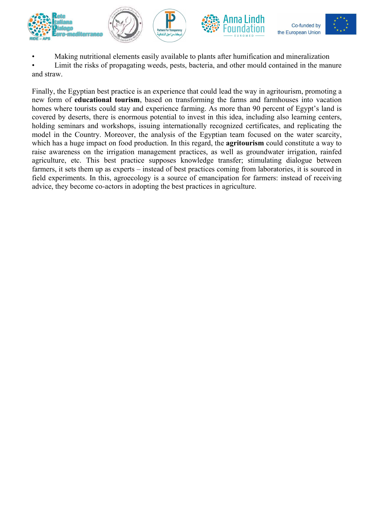

• Making nutritional elements easily available to plants after humification and mineralization

Limit the risks of propagating weeds, pests, bacteria, and other mould contained in the manure and straw.

Finally, the Egyptian best practice is an experience that could lead the way in agritourism, promoting a new form of educational tourism, based on transforming the farms and farmhouses into vacation homes where tourists could stay and experience farming. As more than 90 percent of Egypt's land is covered by deserts, there is enormous potential to invest in this idea, including also learning centers, holding seminars and workshops, issuing internationally recognized certificates, and replicating the model in the Country. Moreover, the analysis of the Egyptian team focused on the water scarcity, which has a huge impact on food production. In this regard, the **agritourism** could constitute a way to raise awareness on the irrigation management practices, as well as groundwater irrigation, rainfed agriculture, etc. This best practice supposes knowledge transfer; stimulating dialogue between farmers, it sets them up as experts – instead of best practices coming from laboratories, it is sourced in field experiments. In this, agroecology is a source of emancipation for farmers: instead of receiving advice, they become co-actors in adopting the best practices in agriculture.